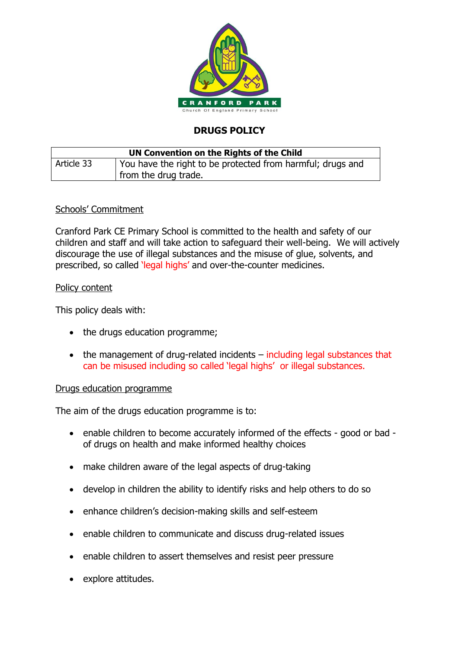

# **DRUGS POLICY**

| UN Convention on the Rights of the Child |                                                            |
|------------------------------------------|------------------------------------------------------------|
| Article 33                               | You have the right to be protected from harmful; drugs and |
|                                          | from the drug trade.                                       |

# Schools' Commitment

Cranford Park CE Primary School is committed to the health and safety of our children and staff and will take action to safeguard their well-being. We will actively discourage the use of illegal substances and the misuse of glue, solvents, and prescribed, so called 'legal highs' and over-the-counter medicines.

## Policy content

This policy deals with:

- the drugs education programme;
- the management of drug-related incidents including legal substances that can be misused including so called 'legal highs' or illegal substances.

## Drugs education programme

The aim of the drugs education programme is to:

- enable children to become accurately informed of the effects good or bad of drugs on health and make informed healthy choices
- make children aware of the legal aspects of drug-taking
- develop in children the ability to identify risks and help others to do so
- enhance children's decision-making skills and self-esteem
- enable children to communicate and discuss drug-related issues
- enable children to assert themselves and resist peer pressure
- explore attitudes.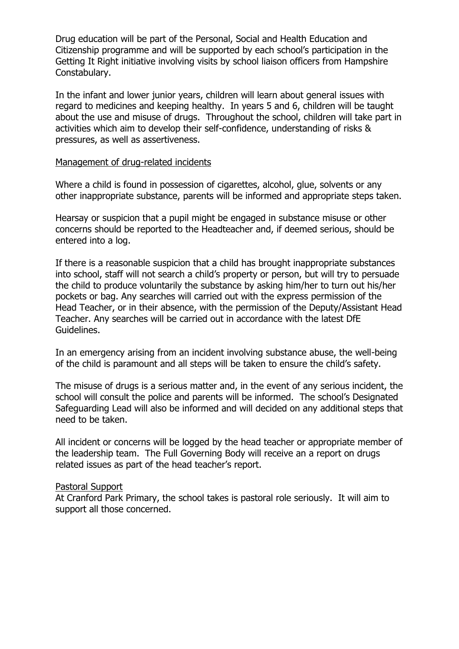Drug education will be part of the Personal, Social and Health Education and Citizenship programme and will be supported by each school's participation in the Getting It Right initiative involving visits by school liaison officers from Hampshire Constabulary.

In the infant and lower junior years, children will learn about general issues with regard to medicines and keeping healthy. In years 5 and 6, children will be taught about the use and misuse of drugs. Throughout the school, children will take part in activities which aim to develop their self-confidence, understanding of risks & pressures, as well as assertiveness.

#### Management of drug-related incidents

Where a child is found in possession of cigarettes, alcohol, glue, solvents or any other inappropriate substance, parents will be informed and appropriate steps taken.

Hearsay or suspicion that a pupil might be engaged in substance misuse or other concerns should be reported to the Headteacher and, if deemed serious, should be entered into a log.

If there is a reasonable suspicion that a child has brought inappropriate substances into school, staff will not search a child's property or person, but will try to persuade the child to produce voluntarily the substance by asking him/her to turn out his/her pockets or bag. Any searches will carried out with the express permission of the Head Teacher, or in their absence, with the permission of the Deputy/Assistant Head Teacher. Any searches will be carried out in accordance with the latest DfE Guidelines.

In an emergency arising from an incident involving substance abuse, the well-being of the child is paramount and all steps will be taken to ensure the child's safety.

The misuse of drugs is a serious matter and, in the event of any serious incident, the school will consult the police and parents will be informed. The school's Designated Safeguarding Lead will also be informed and will decided on any additional steps that need to be taken.

All incident or concerns will be logged by the head teacher or appropriate member of the leadership team. The Full Governing Body will receive an a report on drugs related issues as part of the head teacher's report.

## Pastoral Support

At Cranford Park Primary, the school takes is pastoral role seriously. It will aim to support all those concerned.